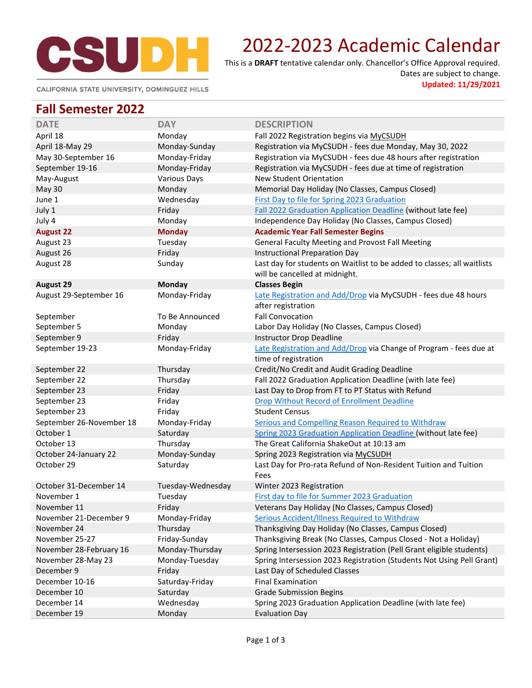

# 2022-2023 Academic Calendar

This is a **DRAFT** tentative calendar only. Chancellor's Office Approval required. Dates are subject to change.

**Updated: 11/29/2021**

CALIFORNIA STATE UNIVERSITY, DOMINGUEZ HILLS

#### **Fall Semester 2022**

| <b>DATE</b>              | <b>DAY</b>          | <b>DESCRIPTION</b>                                                      |
|--------------------------|---------------------|-------------------------------------------------------------------------|
| April 18                 | Monday              | Fall 2022 Registration begins via MyCSUDH                               |
| April 18-May 29          | Monday-Sunday       | Registration via MyCSUDH - fees due Monday, May 30, 2022                |
| May 30-September 16      | Monday-Friday       | Registration via MyCSUDH - fees due 48 hours after registration         |
| September 19-16          | Monday-Friday       | Registration via MyCSUDH - fees due at time of registration             |
| May-August               | <b>Various Days</b> | New Student Orientation                                                 |
| May 30                   | Monday              | Memorial Day Holiday (No Classes, Campus Closed)                        |
| June 1                   | Wednesday           | First Day to file for Spring 2023 Graduation                            |
| July 1                   | Friday              | Fall 2022 Graduation Application Deadline (without late fee)            |
| July 4                   | Monday              | Independence Day Holiday (No Classes, Campus Closed)                    |
| <b>August 22</b>         | <b>Monday</b>       | <b>Academic Year Fall Semester Begins</b>                               |
| August 23                | Tuesday             | General Faculty Meeting and Provost Fall Meeting                        |
| August 26                | Friday              | Instructional Preparation Day                                           |
| August 28                | Sunday              | Last day for students on Waitlist to be added to classes; all waitlists |
|                          |                     | will be cancelled at midnight.                                          |
| <b>August 29</b>         | Monday              | <b>Classes Begin</b>                                                    |
| August 29-September 16   | Monday-Friday       | Late Registration and Add/Drop via MyCSUDH - fees due 48 hours          |
|                          |                     | after registration                                                      |
| September                | To Be Announced     | <b>Fall Convocation</b>                                                 |
| September 5              | Monday              | Labor Day Holiday (No Classes, Campus Closed)                           |
| September 9              | Friday              | Instructor Drop Deadline                                                |
| September 19-23          | Monday-Friday       | Late Registration and Add/Drop via Change of Program - fees due at      |
|                          |                     | time of registration                                                    |
| September 22             | Thursday            | Credit/No Credit and Audit Grading Deadline                             |
| September 22             | Thursday            | Fall 2022 Graduation Application Deadline (with late fee)               |
| September 23             | Friday              | Last Day to Drop from FT to PT Status with Refund                       |
| September 23             | Friday              | Drop Without Record of Enrollment Deadline                              |
| September 23             | Friday              | <b>Student Census</b>                                                   |
| September 26-November 18 | Monday-Friday       | Serious and Compelling Reason Required to Withdraw                      |
| October 1                | Saturday            | Spring 2023 Graduation Application Deadline (without late fee)          |
| October 13               | Thursday            | The Great California ShakeOut at 10:13 am                               |
| October 24-January 22    | Monday-Sunday       | Spring 2023 Registration via MyCSUDH                                    |
| October 29               | Saturday            | Last Day for Pro-rata Refund of Non-Resident Tuition and Tuition        |
|                          |                     | Fees                                                                    |
| October 31-December 14   | Tuesday-Wednesday   | Winter 2023 Registration                                                |
| November 1               | Tuesday             | First day to file for Summer 2023 Graduation                            |
| November 11              | Friday              | Veterans Day Holiday (No Classes, Campus Closed)                        |
| November 21-December 9   | Monday-Friday       | Serious Accident/Illness Required to Withdraw                           |
| November 24              | Thursday            | Thanksgiving Day Holiday (No Classes, Campus Closed)                    |
| November 25-27           | Friday-Sunday       | Thanksgiving Break (No Classes, Campus Closed - Not a Holiday)          |
| November 28-February 16  | Monday-Thursday     | Spring Intersession 2023 Registration (Pell Grant eligible students)    |
| November 28-May 23       | Monday-Tuesday      | Spring Intersession 2023 Registration (Students Not Using Pell Grant)   |
| December 9               | Friday              | Last Day of Scheduled Classes                                           |
| December 10-16           | Saturday-Friday     | <b>Final Examination</b>                                                |
| December 10              | Saturday            | <b>Grade Submission Begins</b>                                          |
| December 14              | Wednesday           | Spring 2023 Graduation Application Deadline (with late fee)             |
| December 19              | Monday              | <b>Evaluation Day</b>                                                   |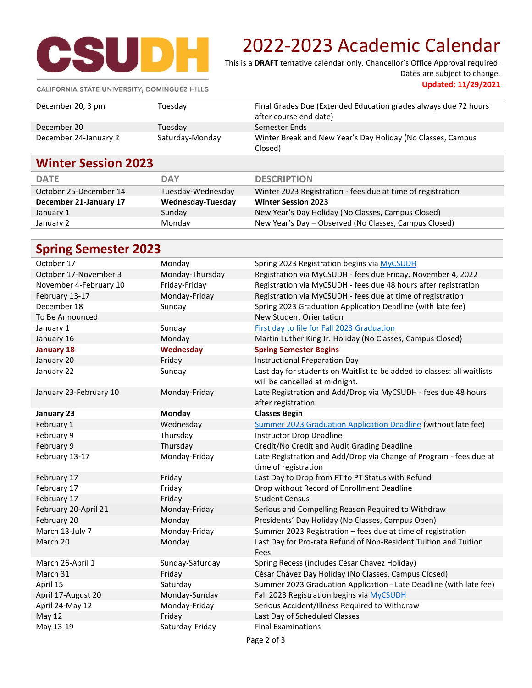

# 2022-2023 Academic Calendar

This is a **DRAFT** tentative calendar only. Chancellor's Office Approval required. Dates are subject to change.

**Updated: 11/29/2021**

CALIFORNIA STATE UNIVERSITY, DOMINGUEZ HILLS

| <b>Winter Session 2023</b> |                 |                                                                                           |
|----------------------------|-----------------|-------------------------------------------------------------------------------------------|
|                            |                 | Closed)                                                                                   |
| December 24-January 2      | Saturday-Monday | Winter Break and New Year's Day Holiday (No Classes, Campus                               |
| December 20                | Tuesdav         | Semester Ends                                                                             |
| December 20, 3 pm          | Tuesday         | Final Grades Due (Extended Education grades always due 72 hours<br>after course end date) |
|                            |                 |                                                                                           |

| <b>DATE</b>            | DAY               | <b>DESCRIPTION</b>                                          |
|------------------------|-------------------|-------------------------------------------------------------|
| October 25-December 14 | Tuesday-Wednesday | Winter 2023 Registration - fees due at time of registration |
| December 21-January 17 | Wednesday-Tuesday | <b>Winter Session 2023</b>                                  |
| January 1              | Sunday            | New Year's Day Holiday (No Classes, Campus Closed)          |
| January 2              | Monday            | New Year's Day - Observed (No Classes, Campus Closed)       |
|                        |                   |                                                             |

| <b>Spring Semester 2023</b> |  |
|-----------------------------|--|
|                             |  |

| October 17             | Monday          | Spring 2023 Registration begins via MyCSUDH                                                               |
|------------------------|-----------------|-----------------------------------------------------------------------------------------------------------|
| October 17-November 3  | Monday-Thursday | Registration via MyCSUDH - fees due Friday, November 4, 2022                                              |
| November 4-February 10 | Friday-Friday   | Registration via MyCSUDH - fees due 48 hours after registration                                           |
| February 13-17         | Monday-Friday   | Registration via MyCSUDH - fees due at time of registration                                               |
| December 18            | Sunday          | Spring 2023 Graduation Application Deadline (with late fee)                                               |
| To Be Announced        |                 | New Student Orientation                                                                                   |
| January 1              | Sunday          | First day to file for Fall 2023 Graduation                                                                |
| January 16             | Monday          | Martin Luther King Jr. Holiday (No Classes, Campus Closed)                                                |
| <b>January 18</b>      | Wednesday       | <b>Spring Semester Begins</b>                                                                             |
| January 20             | Friday          | <b>Instructional Preparation Day</b>                                                                      |
| January 22             | Sunday          | Last day for students on Waitlist to be added to classes: all waitlists<br>will be cancelled at midnight. |
| January 23-February 10 | Monday-Friday   | Late Registration and Add/Drop via MyCSUDH - fees due 48 hours                                            |
|                        |                 | after registration                                                                                        |
| January 23             | <b>Monday</b>   | <b>Classes Begin</b>                                                                                      |
| February 1             | Wednesday       | Summer 2023 Graduation Application Deadline (without late fee)                                            |
| February 9             | Thursday        | Instructor Drop Deadline                                                                                  |
| February 9             | Thursday        | Credit/No Credit and Audit Grading Deadline                                                               |
| February 13-17         | Monday-Friday   | Late Registration and Add/Drop via Change of Program - fees due at<br>time of registration                |
| February 17            | Friday          | Last Day to Drop from FT to PT Status with Refund                                                         |
| February 17            | Friday          | Drop without Record of Enrollment Deadline                                                                |
| February 17            | Friday          | <b>Student Census</b>                                                                                     |
| February 20-April 21   | Monday-Friday   | Serious and Compelling Reason Required to Withdraw                                                        |
| February 20            | Monday          | Presidents' Day Holiday (No Classes, Campus Open)                                                         |
| March 13-July 7        | Monday-Friday   | Summer 2023 Registration - fees due at time of registration                                               |
| March 20               | Monday          | Last Day for Pro-rata Refund of Non-Resident Tuition and Tuition<br>Fees                                  |
| March 26-April 1       | Sunday-Saturday | Spring Recess (includes César Chávez Holiday)                                                             |
| March 31               | Friday          | César Chávez Day Holiday (No Classes, Campus Closed)                                                      |
| April 15               | Saturday        | Summer 2023 Graduation Application - Late Deadline (with late fee)                                        |
| April 17-August 20     | Monday-Sunday   | Fall 2023 Registration begins via MyCSUDH                                                                 |
| April 24-May 12        | Monday-Friday   | Serious Accident/Illness Required to Withdraw                                                             |
| <b>May 12</b>          | Friday          | Last Day of Scheduled Classes                                                                             |
| May 13-19              | Saturday-Friday | <b>Final Examinations</b>                                                                                 |
|                        |                 | Page 2 of 3                                                                                               |